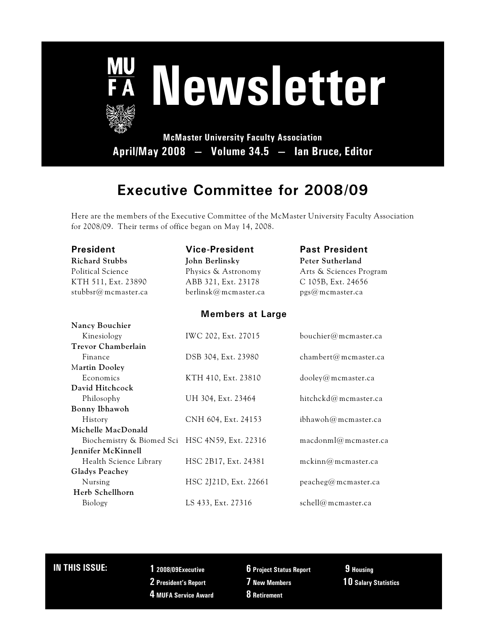

## **Executive Committee for 2008/09**

Here are the members of the Executive Committee of the McMaster University Faculty Association for 2008/09. Their terms of office began on May 14, 2008.

| President                                      | <b>Vice-President</b>   | <b>Past President</b>   |  |  |
|------------------------------------------------|-------------------------|-------------------------|--|--|
| <b>Richard Stubbs</b>                          | John Berlinsky          | Peter Sutherland        |  |  |
| <b>Political Science</b>                       | Physics & Astronomy     | Arts & Sciences Program |  |  |
| KTH 511, Ext. 23890                            | ABB 321, Ext. 23178     | C 105B, Ext. 24656      |  |  |
| stubbsr@mcmaster.ca                            | berlinsk@mcmaster.ca    | pgs@mcmaster.ca         |  |  |
|                                                | <b>Members at Large</b> |                         |  |  |
| Nancy Bouchier                                 |                         |                         |  |  |
| Kinesiology                                    | IWC 202, Ext. 27015     | bouchier@mcmaster.ca    |  |  |
| <b>Trevor Chamberlain</b>                      |                         |                         |  |  |
| Finance                                        | DSB 304, Ext. 23980     | chambert@mcmaster.ca    |  |  |
| Martin Dooley                                  |                         |                         |  |  |
| Economics                                      | KTH 410, Ext. 23810     | dooley@mcmaster.ca      |  |  |
| David Hitchcock                                |                         |                         |  |  |
| Philosophy                                     | UH 304, Ext. 23464      | hitchckd@mcmaster.ca    |  |  |
| Bonny Ibhawoh                                  |                         |                         |  |  |
| History                                        | CNH 604, Ext. 24153     | ibhawoh@mcmaster.ca     |  |  |
| Michelle MacDonald                             |                         |                         |  |  |
| Biochemistry & Biomed Sci HSC 4N59, Ext. 22316 |                         | macdonml@mcmaster.ca    |  |  |
| Jennifer McKinnell                             |                         |                         |  |  |
| Health Science Library                         | HSC 2B17, Ext. 24381    | mckinn@mcmaster.ca      |  |  |
| Gladys Peachey                                 |                         |                         |  |  |
| Nursing                                        | HSC 2J21D, Ext. 22661   | peacheg@mcmaster.ca     |  |  |
| Herb Schellhorn                                |                         |                         |  |  |
| Biology                                        | LS 433, Ext. 27316      | schell@mcmaster.ca      |  |  |

### **IN THIS ISSUE: 1 2008/09Executive**

- 
- **2 President's Report**
- **4 MUFA Service Award**
- **6 Project Status Report**
- **7 New Members**
	- **8 Retirement**
- **9 Housing 10 Salary Statistics**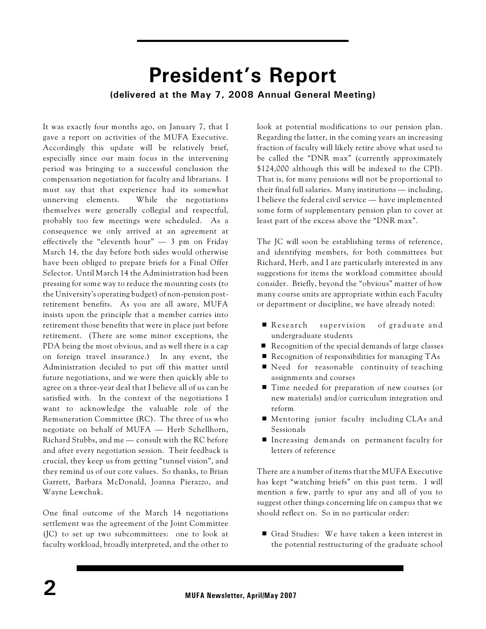## **President's Report (delivered at the May 7, 2008 Annual General Meeting)**

It was exactly four months ago, on January 7, that I gave a report on activities of the MUFA Executive. Accordingly this update will be relatively brief, especially since our main focus in the intervening period was bringing to a successful conclusion the compensation negotiation for faculty and librarians. I must say that that experience had its somewhat unnerving elements. While the negotiations themselves were generally collegial and respectful, probably too few meetings were scheduled. As a consequence we only arrived at an agreement at effectively the "eleventh hour"  $-$  3 pm on Friday March 14, the day before both sides would otherwise have been obliged to prepare briefs for a Final Offer Selector. Until March 14 the Administration had been pressing for some way to reduce the mounting costs (to the University's operating budget) of non-pension postretirement benefits. As you are all aware, MUFA insists upon the principle that a member carries into retirement those benefits that were in place just before retirement. (There are some minor exceptions, the PDA being the most obvious, and as well there is a cap on foreign travel insurance.) In any event, the Administration decided to put off this matter until future negotiations, and we were then quickly able to agree on a three-year deal that I believe all of us can be satisfied with. In the context of the negotiations I want to acknowledge the valuable role of the Remuneration Committee (RC). The three of us who negotiate on behalf of MUFA — Herb Schellhorn, Richard Stubbs, and me — consult with the RC before and after every negotiation session. Their feedback is crucial, they keep us from getting "tunnel vision", and they remind us of our core values. So thanks, to Brian Garrett, Barbara McDonald, Joanna Pierazzo, and Wayne Lewchuk.

One final outcome of the March 14 negotiations settlement was the agreement of the Joint Committee (JC) to set up two subcommittees: one to look at faculty workload, broadly interpreted, and the other to

look at potential modifications to our pension plan. Regarding the latter, in the coming years an increasing fraction of faculty will likely retire above what used to be called the "DNR max" (currently approximately \$124,000 although this will be indexed to the CPI). That is, for many pensions will not be proportional to their final full salaries. Many institutions — including, I believe the federal civil service — have implemented some form of supplementary pension plan to cover at least part of the excess above the "DNR max".

The JC will soon be establishing terms of reference, and identifying members, for both committees but Richard, Herb, and I are particularly interested in any suggestions for items the workload committee should consider. Briefly, beyond the "obvious" matter of how many course units are appropriate within each Faculty or department or discipline, we have already noted:

- Research supervision of graduate and undergraduate students
- $\blacksquare$  Recognition of the special demands of large classes
- $\blacksquare$  Recognition of responsibilities for managing TAs
- $\blacksquare$  Need for reasonable continuity of teaching assignments and courses
- Time needed for preparation of new courses (or new materials) and/or curriculum integration and reform
- Mentoring junior faculty including CLAs and Sessionals
- **Increasing demands on permanent faculty for** letters of reference

There are a number of items that the MUFA Executive has kept "watching briefs" on this past term. I will mention a few, partly to spur any and all of you to suggest other things concerning life on campus that we should reflect on. So in no particular order:

■ Grad Studies: We have taken a keen interest in the potential restructuring of the graduate school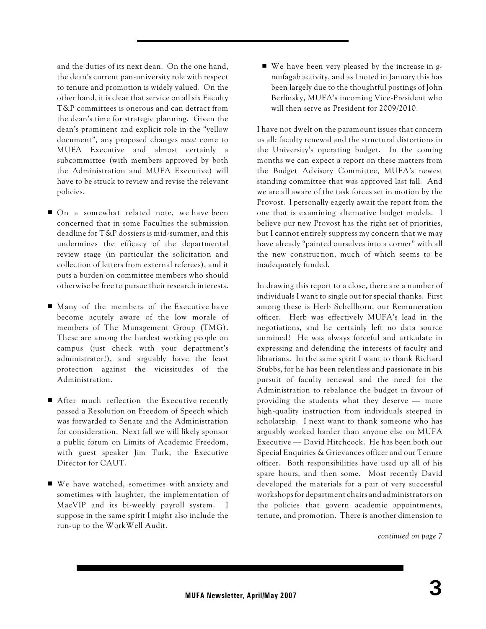and the duties of its next dean. On the one hand, the dean's current pan-university role with respect to tenure and promotion is widely valued. On the other hand, it is clear that service on all six Faculty T&P committees is onerous and can detract from the dean's time for strategic planning. Given the dean's prominent and explicit role in the "yellow document", any proposed changes *must* come to MUFA Executive and almost certainly a subcommittee (with members approved by both the Administration and MUFA Executive) will have to be struck to review and revise the relevant policies.

- On a somewhat related note, we have been concerned that in some Faculties the submission deadline for T&P dossiers is mid-summer, and this undermines the efficacy of the departmental review stage (in particular the solicitation and collection of letters from external referees), and it puts a burden on committee members who should otherwise be free to pursue their research interests.
- $\blacksquare$  Many of the members of the Executive have become acutely aware of the low morale of members of The Management Group (TMG). These are among the hardest working people on campus (just check with your department's administrator!), and arguably have the least protection against the vicissitudes of the Administration.
- $\blacksquare$  After much reflection the Executive recently passed a Resolution on Freedom of Speech which was forwarded to Senate and the Administration for consideration. Next fall we will likely sponsor a public forum on Limits of Academic Freedom, with guest speaker Jim Turk, the Executive Director for CAUT.
- $\blacksquare$  We have watched, sometimes with anxiety and sometimes with laughter, the implementation of MacVIP and its bi-weekly payroll system. I suppose in the same spirit I might also include the run-up to the WorkWell Audit.

 $\blacksquare$  We have been very pleased by the increase in gmufagab activity, and as I noted in January this has been largely due to the thoughtful postings of John Berlinsky, MUFA's incoming Vice-President who will then serve as President for 2009/2010.

I have not dwelt on the paramount issues that concern us all: faculty renewal and the structural distortions in the University's operating budget. In the coming months we can expect a report on these matters from the Budget Advisory Committee, MUFA's newest standing committee that was approved last fall. And we are all aware of the task forces set in motion by the Provost. I personally eagerly await the report from the one that is examining alternative budget models. I believe our new Provost has the right set of priorities, but I cannot entirely suppress my concern that we may have already "painted ourselves into a corner" with all the new construction, much of which seems to be inadequately funded.

In drawing this report to a close, there are a number of individuals I want to single out for special thanks. First among these is Herb Schellhorn, our Remuneration officer. Herb was effectively MUFA's lead in the negotiations, and he certainly left no data source unmined! He was always forceful and articulate in expressing and defending the interests of faculty and librarians. In the same spirit I want to thank Richard Stubbs, for he has been relentless and passionate in his pursuit of faculty renewal and the need for the Administration to rebalance the budget in favour of providing the students what they deserve — more high-quality instruction from individuals steeped in scholarship. I next want to thank someone who has arguably worked harder than anyone else on MUFA Executive — David Hitchcock. He has been both our Special Enquiries & Grievances officer and our Tenure officer. Both responsibilities have used up all of his spare hours, and then some. Most recently David developed the materials for a pair of very successful workshops for department chairs and administrators on the policies that govern academic appointments, tenure, and promotion. There is another dimension to

*continued on page 7*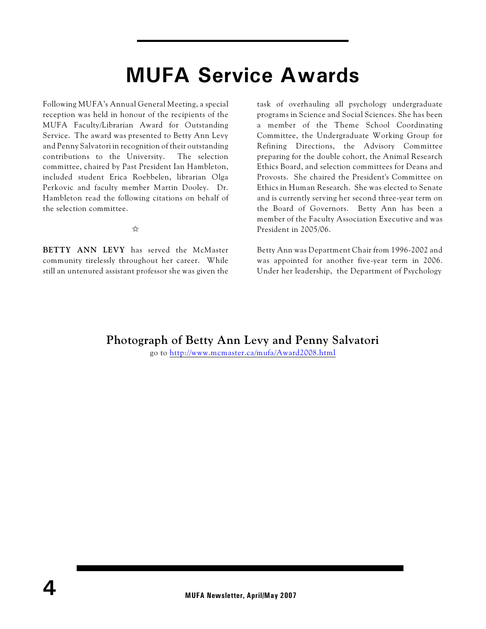# **MUFA Service Awards**

Following MUFA's Annual General Meeting, a special reception was held in honour of the recipients of the MUFA Faculty/Librarian Award for Outstanding Service. The award was presented to Betty Ann Levy and Penny Salvatori in recognition of their outstanding contributions to the University. The selection committee, chaired by Past President Ian Hambleton, included student Erica Roebbelen, librarian Olga Perkovic and faculty member Martin Dooley. Dr. Hambleton read the following citations on behalf of the selection committee.

 $\frac{1}{2}$ 

**BETTY ANN LEVY** has served the McMaster community tirelessly throughout her career. While still an untenured assistant professor she was given the task of overhauling all psychology undergraduate programs in Science and Social Sciences. She has been a member of the Theme School Coordinating Committee, the Undergraduate Working Group for Refining Directions, the Advisory Committee preparing for the double cohort, the Animal Research Ethics Board, and selection committees for Deans and Provosts. She chaired the President's Committee on Ethics in Human Research. She was elected to Senate and is currently serving her second three-year term on the Board of Governors. Betty Ann has been a member of the Faculty Association Executive and was President in 2005/06.

Betty Ann was Department Chair from 1996-2002 and was appointed for another five-year term in 2006. Under her leadership, the Department of Psychology

### **Photograph of Betty Ann Levy and Penny Salvatori**

go to<http://www.mcmaster.ca/mufa/Award2008.html>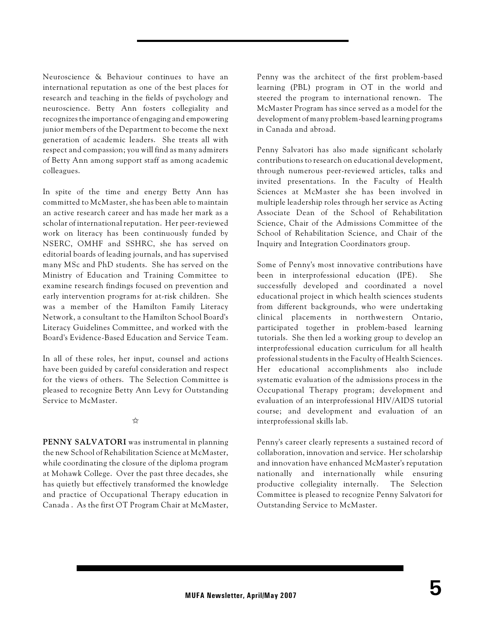Neuroscience & Behaviour continues to have an international reputation as one of the best places for research and teaching in the fields of psychology and neuroscience. Betty Ann fosters collegiality and recognizes the importance of engaging and empowering junior members of the Department to become the next generation of academic leaders. She treats all with respect and compassion; you will find as many admirers of Betty Ann among support staff as among academic colleagues.

In spite of the time and energy Betty Ann has committed to McMaster, she has been able to maintain an active research career and has made her mark as a scholar of international reputation. Her peer-reviewed work on literacy has been continuously funded by NSERC, OMHF and SSHRC, she has served on editorial boards of leading journals, and has supervised many MSc and PhD students. She has served on the Ministry of Education and Training Committee to examine research findings focused on prevention and early intervention programs for at-risk children. She was a member of the Hamilton Family Literacy Network, a consultant to the Hamilton School Board's Literacy Guidelines Committee, and worked with the Board's Evidence-Based Education and Service Team.

In all of these roles, her input, counsel and actions have been guided by careful consideration and respect for the views of others. The Selection Committee is pleased to recognize Betty Ann Levy for Outstanding Service to McMaster.

☆

**PENNY SALVATORI** was instrumental in planning the new School of Rehabilitation Science at McMaster, while coordinating the closure of the diploma program at Mohawk College. Over the past three decades, she has quietly but effectively transformed the knowledge and practice of Occupational Therapy education in Canada . As the first OT Program Chair at McMaster, Penny was the architect of the first problem-based learning (PBL) program in OT in the world and steered the program to international renown. The McMaster Program has since served as a model for the development of many problem-based learning programs in Canada and abroad.

Penny Salvatori has also made significant scholarly contributions to research on educational development, through numerous peer-reviewed articles, talks and invited presentations. In the Faculty of Health Sciences at McMaster she has been involved in multiple leadership roles through her service as Acting Associate Dean of the School of Rehabilitation Science, Chair of the Admissions Committee of the School of Rehabilitation Science, and Chair of the Inquiry and Integration Coordinators group.

Some of Penny's most innovative contributions have been in interprofessional education (IPE). She successfully developed and coordinated a novel educational project in which health sciences students from different backgrounds, who were undertaking clinical placements in northwestern Ontario, participated together in problem-based learning tutorials. She then led a working group to develop an interprofessional education curriculum for all health professional students in the Faculty of Health Sciences. Her educational accomplishments also include systematic evaluation of the admissions process in the Occupational Therapy program; development and evaluation of an interprofessional HIV/AIDS tutorial course; and development and evaluation of an interprofessional skills lab.

Penny's career clearly represents a sustained record of collaboration, innovation and service. Her scholarship and innovation have enhanced McMaster's reputation nationally and internationally while ensuring productive collegiality internally. The Selection Committee is pleased to recognize Penny Salvatori for Outstanding Service to McMaster.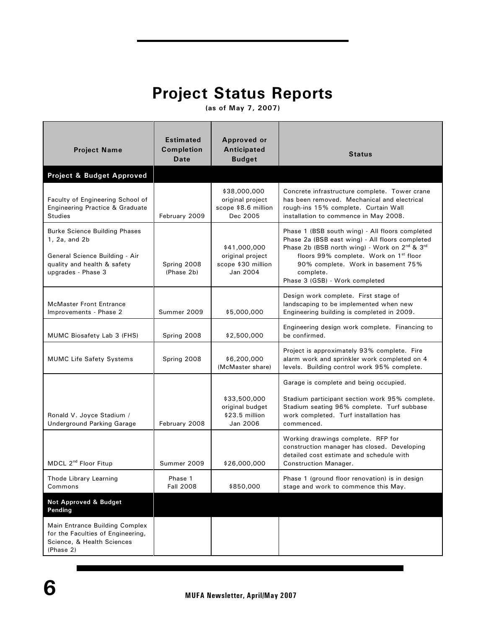## **Project Status Reports**

**(as of May 7, 2007)**

| <b>Project Name</b>                                                                                                                          | <b>Estimated</b><br><b>Completion</b><br>Date | Approved or<br>Anticipated<br><b>Budget</b>                         | <b>Status</b>                                                                                                                                                                                                                                                                                              |
|----------------------------------------------------------------------------------------------------------------------------------------------|-----------------------------------------------|---------------------------------------------------------------------|------------------------------------------------------------------------------------------------------------------------------------------------------------------------------------------------------------------------------------------------------------------------------------------------------------|
| Project & Budget Approved                                                                                                                    |                                               |                                                                     |                                                                                                                                                                                                                                                                                                            |
| Faculty of Engineering School of<br>Engineering Practice & Graduate<br><b>Studies</b>                                                        | February 2009                                 | \$38,000,000<br>original project<br>scope \$8.6 million<br>Dec 2005 | Concrete infrastructure complete. Tower crane<br>has been removed. Mechanical and electrical<br>rough-ins 15% complete. Curtain Wall<br>installation to commence in May 2008.                                                                                                                              |
| <b>Burke Science Building Phases</b><br>1, 2a, and 2b<br>General Science Building - Air<br>quality and health & safety<br>upgrades - Phase 3 | Spring 2008<br>(Phase 2b)                     | \$41,000,000<br>original project<br>scope \$30 million<br>Jan 2004  | Phase 1 (BSB south wing) - All floors completed<br>Phase 2a (BSB east wing) - All floors completed<br>Phase 2b (BSB north wing) - Work on 2 <sup>nd</sup> & 3 <sup>rd</sup><br>floors 99% complete. Work on 1st floor<br>90% complete. Work in basement 75%<br>complete.<br>Phase 3 (GSB) - Work completed |
| <b>McMaster Front Entrance</b><br>Improvements - Phase 2                                                                                     | Summer 2009                                   | \$5,000,000                                                         | Design work complete. First stage of<br>landscaping to be implemented when new<br>Engineering building is completed in 2009.                                                                                                                                                                               |
| MUMC Biosafety Lab 3 (FHS)                                                                                                                   | Spring 2008                                   | \$2,500,000                                                         | Engineering design work complete. Financing to<br>be confirmed.                                                                                                                                                                                                                                            |
| <b>MUMC Life Safety Systems</b>                                                                                                              | Spring 2008                                   | \$6,200,000<br>(McMaster share)                                     | Project is approximately 93% complete. Fire<br>alarm work and sprinkler work completed on 4<br>levels. Building control work 95% complete.                                                                                                                                                                 |
| Ronald V. Joyce Stadium /<br><b>Underground Parking Garage</b>                                                                               | February 2008                                 | \$33,500,000<br>original budget<br>\$23.5 million<br>Jan 2006       | Garage is complete and being occupied.<br>Stadium participant section work 95% complete.<br>Stadium seating 96% complete. Turf subbase<br>work completed. Turf installation has<br>commenced.                                                                                                              |
| MDCL 2 <sup>nd</sup> Floor Fitup                                                                                                             | Summer 2009                                   | \$26,000,000                                                        | Working drawings complete. RFP for<br>construction manager has closed. Developing<br>detailed cost estimate and schedule with<br><b>Construction Manager.</b>                                                                                                                                              |
| Thode Library Learning<br>Commons<br><b>Not Approved &amp; Budget</b><br>Pending                                                             | Phase 1<br><b>Fall 2008</b>                   | \$850,000                                                           | Phase 1 (ground floor renovation) is in design<br>stage and work to commence this May.                                                                                                                                                                                                                     |
| Main Entrance Building Complex<br>for the Faculties of Engineering,<br>Science, & Health Sciences<br>(Phase 2)                               |                                               |                                                                     |                                                                                                                                                                                                                                                                                                            |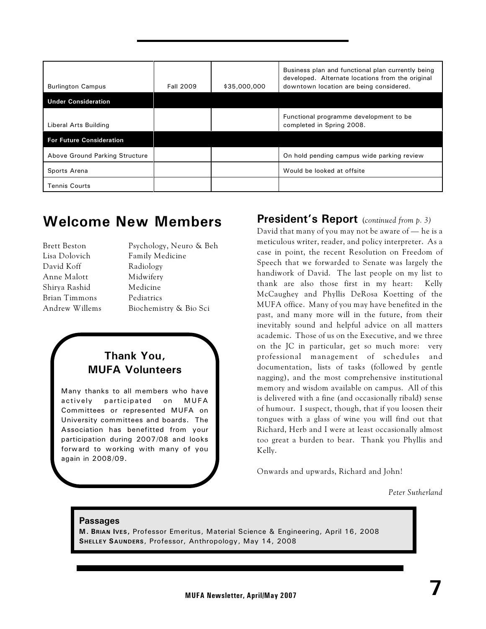| <b>Burlington Campus</b>        | <b>Fall 2009</b> | \$35,000,000 | Business plan and functional plan currently being<br>developed. Alternate locations from the original<br>downtown location are being considered. |
|---------------------------------|------------------|--------------|--------------------------------------------------------------------------------------------------------------------------------------------------|
| <b>Under Consideration</b>      |                  |              |                                                                                                                                                  |
| Liberal Arts Building           |                  |              | Functional programme development to be<br>completed in Spring 2008.                                                                              |
| <b>For Future Consideration</b> |                  |              |                                                                                                                                                  |
| Above Ground Parking Structure  |                  |              | On hold pending campus wide parking review                                                                                                       |
| Sports Arena                    |                  |              | Would be looked at offsite                                                                                                                       |
| <b>Tennis Courts</b>            |                  |              |                                                                                                                                                  |

### **Welcome New Members**

| Brett Beston   | Psychology, Neuro & Beh |
|----------------|-------------------------|
| Lisa Dolovich  | Family Medicine         |
| David Koff     | Radiology               |
| Anne Malott    | Midwifery               |
| Shirya Rashid  | Medicine                |
| Brian Timmons  | Pediatrics              |
| Andrew Willems | Biochemistry & Bio Sci  |
|                |                         |

### **Thank You, MUFA Volunteers**

Many thanks to all members who have actively participated on MUFA Committees or represented MUFA on University committees and boards. The Association has benefitted from your participation during 2007/08 and looks forward to working with many of you again in 2008/09.

### **President's Report** (*continued from p. 3)*

David that many of you may not be aware of — he is a meticulous writer, reader, and policy interpreter. As a case in point, the recent Resolution on Freedom of Speech that we forwarded to Senate was largely the handiwork of David. The last people on my list to thank are also those first in my heart: Kelly McCaughey and Phyllis DeRosa Koetting of the MUFA office. Many of you may have benefited in the past, and many more will in the future, from their inevitably sound and helpful advice on all matters academic. Those of us on the Executive, and we three on the JC in particular, get so much more: very professional management of schedules and documentation, lists of tasks (followed by gentle nagging), and the most comprehensive institutional memory and wisdom available on campus. All of this is delivered with a fine (and occasionally ribald) sense of humour. I suspect, though, that if you loosen their tongues with a glass of wine you will find out that Richard, Herb and I were at least occasionally almost too great a burden to bear. Thank you Phyllis and Kelly.

Onwards and upwards, Richard and John!

*Peter Sutherland*

### **Passages**

**M. BRIAN IVES,** Professor Emeritus, Material Science & Engineering, April 16, 2008 **SHELLEY SAUNDERS**, Professor, Anthropology, May 14, 2008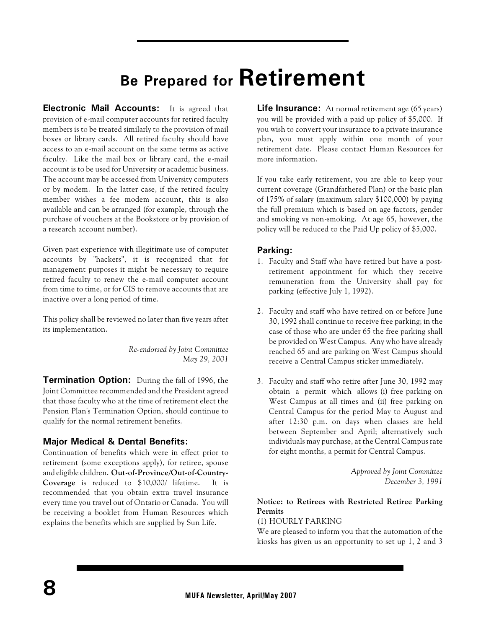# **Be Prepared for Retirement**

**Electronic Mail Accounts:** It is agreed that provision of e-mail computer accounts for retired faculty members is to be treated similarly to the provision of mail boxes or library cards. All retired faculty should have access to an e-mail account on the same terms as active faculty. Like the mail box or library card, the e-mail account is to be used for University or academic business. The account may be accessed from University computers or by modem. In the latter case, if the retired faculty member wishes a fee modem account, this is also available and can be arranged (for example, through the purchase of vouchers at the Bookstore or by provision of a research account number).

Given past experience with illegitimate use of computer accounts by "hackers", it is recognized that for management purposes it might be necessary to require retired faculty to renew the e-mail computer account from time to time, or for CIS to remove accounts that are inactive over a long period of time.

This policy shall be reviewed no later than five years after its implementation.

> *Re-endorsed by Joint Committee May 29, 2001*

**Termination Option:** During the fall of 1996, the Joint Committee recommended and the President agreed that those faculty who at the time of retirement elect the Pension Plan's Termination Option, should continue to qualify for the normal retirement benefits.

### **Major Medical & Dental Benefits:**

Continuation of benefits which were in effect prior to retirement (some exceptions apply), for retiree, spouse and eligible children. **Out-of-Province/Out-of-Country-Coverage** is reduced to \$10,000/ lifetime. It is recommended that you obtain extra travel insurance every time you travel out of Ontario or Canada. You will be receiving a booklet from Human Resources which explains the benefits which are supplied by Sun Life.

**Life Insurance:** At normal retirement age (65 years) you will be provided with a paid up policy of \$5,000. If you wish to convert your insurance to a private insurance plan, you must apply within one month of your retirement date. Please contact Human Resources for more information.

If you take early retirement, you are able to keep your current coverage (Grandfathered Plan) or the basic plan of 175% of salary (maximum salary \$100,000) by paying the full premium which is based on age factors, gender and smoking vs non-smoking. At age 65, however, the policy will be reduced to the Paid Up policy of \$5,000.

### **Parking:**

- 1. Faculty and Staff who have retired but have a postretirement appointment for which they receive remuneration from the University shall pay for parking (effective July 1, 1992).
- 2. Faculty and staff who have retired on or before June 30, 1992 shall continue to receive free parking; in the case of those who are under 65 the free parking shall be provided on West Campus. Any who have already reached 65 and are parking on West Campus should receive a Central Campus sticker immediately.
- 3. Faculty and staff who retire after June 30, 1992 may obtain a permit which allows (i) free parking on West Campus at all times and (ii) free parking on Central Campus for the period May to August and after 12:30 p.m. on days when classes are held between September and April; alternatively such individuals may purchase, at the Central Campus rate for eight months, a permit for Central Campus.

*Approved by Joint Committee December 3, 1991*

### **Notice: to Retirees with Restricted Retiree Parking Permits**

#### (1) HOURLY PARKING

We are pleased to inform you that the automation of the kiosks has given us an opportunity to set up 1, 2 and 3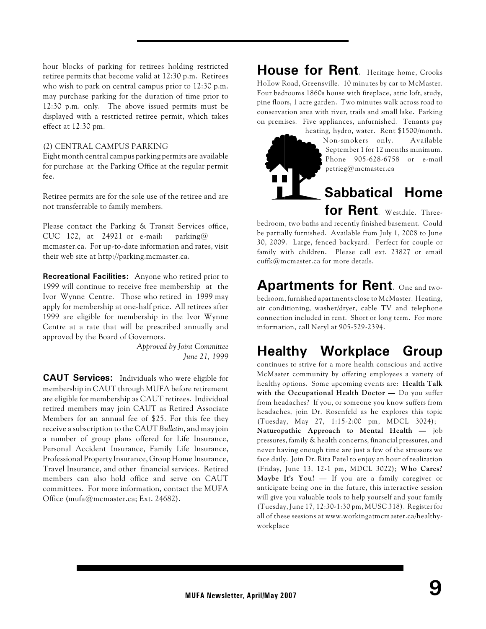hour blocks of parking for retirees holding restricted retiree permits that become valid at 12:30 p.m. Retirees who wish to park on central campus prior to 12:30 p.m. may purchase parking for the duration of time prior to 12:30 p.m. only. The above issued permits must be displayed with a restricted retiree permit, which takes effect at 12:30 pm.

#### (2) CENTRAL CAMPUS PARKING

Eight month central campus parking permits are available for purchase at the Parking Office at the regular permit fee.

Retiree permits are for the sole use of the retiree and are not transferrable to family members.

Please contact the Parking & Transit Services office, CUC 102, at 24921 or e-mail: parking@ mcmaster.ca. For up-to-date information and rates, visit their web site at http://parking.mcmaster.ca.

**Recreational Facilities:** Anyone who retired prior to 1999 will continue to receive free membership at the Ivor Wynne Centre. Those who retired in 1999 may apply for membership at one-half price. All retirees after 1999 are eligible for membership in the Ivor Wynne Centre at a rate that will be prescribed annually and approved by the Board of Governors.

> *Approved by Joint Committee June 21, 1999*

**CAUT Services:** Individuals who were eligible for membership in CAUT through MUFA before retirement are eligible for membership as CAUT retirees. Individual retired members may join CAUT as Retired Associate Members for an annual fee of \$25. For this fee they receive a subscription to the CAUT *Bulletin*, and may join a number of group plans offered for Life Insurance, Personal Accident Insurance, Family Life Insurance, Professional Property Insurance, Group Home Insurance, Travel Insurance, and other financial services. Retired members can also hold office and serve on CAUT committees. For more information, contact the MUFA Office (mufa@mcmaster.ca; Ext. 24682).

**House for Rent**. Heritage home, Crooks Hollow Road, Greensville. 10 minutes by car to McMaster. Four bedrooms 1860s house with fireplace, attic loft, study, pine floors, 1 acre garden. Two minutes walk across road to conservation area with river, trails and small lake. Parking on premises. Five appliances, unfurnished. Tenants pay



heating, hydro, water. Rent \$1500/month. Non-smokers only. Available September 1 for 12 months minimum. Phone 905-628-6758 or e-mail petrieg@mcmaster.ca

### **Sabbatical Home for Rent**. Westdale. Three-

bedroom, two baths and recently finished basement. Could be partially furnished. Available from July 1, 2008 to June 30, 2009. Large, fenced backyard. Perfect for couple or family with children. Please call ext. 23827 or email cuffk@mcmaster.ca for more details.

## **Apartments for Rent**. One and two-

bedroom, furnished apartments close to McMaster. Heating, air conditioning, washer/dryer, cable TV and telephone connection included in rent. Short or long term. For more information, call Neryl at 905-529-2394.

## **Healthy Workplace Group**

continues to strive for a more health conscious and active McMaster community by offering employees a variety of healthy options. Some upcoming events are: **Health Talk with the Occupational Health Doctor —** Do you suffer from headaches? If you, or someone you know suffers from headaches, join Dr. Rosenfeld as he explores this topic (Tuesday, May 27, 1:15-2:00 pm, MDCL 3024); **Naturopathic Approach to Mental Health —** job pressures, family & health concerns, financial pressures, and never having enough time are just a few of the stressors we face daily. Join Dr. Rita Patel to enjoy an hour of realization (Friday, June 13, 12-1 pm, MDCL 3022); **Who Cares? Maybe It's You! —** If you are a family caregiver or anticipate being one in the future, this interactive session will give you valuable tools to help yourself and your family (Tuesday, June 17, 12:30-1:30 pm, MUSC 318). Register for all of these sessions at www.workingatmcmaster.ca/healthyworkplace